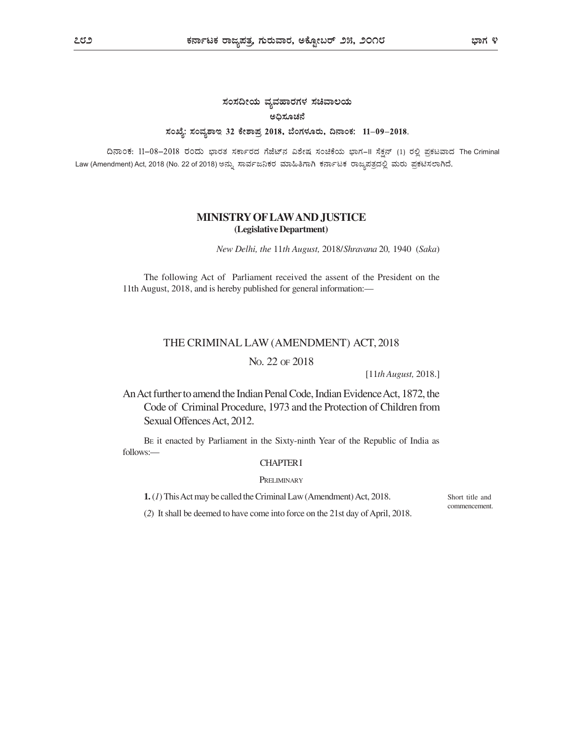# ಸಂಸದೀಯ ವ್ಯವಹಾರಗಳ ಸಚಿವಾಲಯ ಅಧಿಸೂಚನೆ ಸಂಖ್ಯೆ: ಸಂವ್ಯಶಾಇ 32 ಕೇಶಾಪ್ರ 2018, ಬೆಂಗಳೂರು, ದಿನಾಂಕ: 11-09-2018.

ದಿನಾಂಕ: 11-08-2018 ರಂದು ಭಾರತ ಸರ್ಕಾರದ ಗೆಜೆಟ್ನ ವಿಶೇಷ ಸಂಚಿಕೆಯ ಭಾಗ-II ಸೆಕ್ಷನ್ (1) ರಲ್ಲಿ ಪ್ರಕಟವಾದ The Criminal Law (Amendment) Act, 2018 (No. 22 of 2018)

# MINISTRY OF LAW AND JUSTICE (Legislative Department)

New Delhi, the 11th August, 2018/Shravana 20, 1940 (Saka)

The following Act of Parliament received the assent of the President on the 11th August, 2018, and is hereby published for general information:—

## THE CRIMINAL LAW (AMENDMENT) ACT, 2018

# NO. 22 OF 2018

[11th August, 2018.]

An Act further to amend the Indian Penal Code, Indian Evidence Act, 1872, the Code of Criminal Procedure, 1973 and the Protection of Children from Sexual Offences Act, 2012.

BE it enacted by Parliament in the Sixty-ninth Year of the Republic of India as follows:—

# CHAPTER I

## **PRELIMINARY**

1. (1) This Act may be called the Criminal Law (Amendment) Act, 2018.

Short title and commencement.

(2) It shall be deemed to have come into force on the 21st day of April, 2018.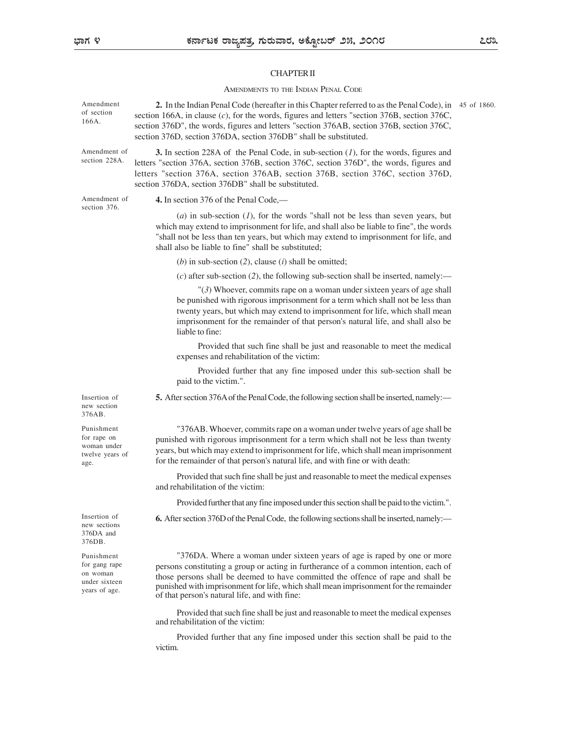# CHAPTER II

## AMENDMENTS TO THE INDIAN PENAL CODE

| Amendment of                                                              |                                                                                                                                                                                                                                                                                                                                                                                               |  |
|---------------------------------------------------------------------------|-----------------------------------------------------------------------------------------------------------------------------------------------------------------------------------------------------------------------------------------------------------------------------------------------------------------------------------------------------------------------------------------------|--|
| section 228A.                                                             | <b>3.</b> In section 228A of the Penal Code, in sub-section $(I)$ , for the words, figures and<br>letters "section 376A, section 376B, section 376C, section 376D", the words, figures and<br>letters "section 376A, section 376AB, section 376B, section 376C, section 376D,<br>section 376DA, section 376DB" shall be substituted.                                                          |  |
| Amendment of<br>section 376.                                              | 4. In section 376 of the Penal Code,—                                                                                                                                                                                                                                                                                                                                                         |  |
|                                                                           | (a) in sub-section $(1)$ , for the words "shall not be less than seven years, but<br>which may extend to imprisonment for life, and shall also be liable to fine", the words<br>"shall not be less than ten years, but which may extend to imprisonment for life, and<br>shall also be liable to fine" shall be substituted;                                                                  |  |
|                                                                           | (b) in sub-section (2), clause (i) shall be omitted;                                                                                                                                                                                                                                                                                                                                          |  |
|                                                                           | (c) after sub-section (2), the following sub-section shall be inserted, namely:—                                                                                                                                                                                                                                                                                                              |  |
|                                                                           | "(3) Whoever, commits rape on a woman under sixteen years of age shall<br>be punished with rigorous imprisonment for a term which shall not be less than<br>twenty years, but which may extend to imprisonment for life, which shall mean<br>imprisonment for the remainder of that person's natural life, and shall also be<br>liable to fine:                                               |  |
|                                                                           | Provided that such fine shall be just and reasonable to meet the medical<br>expenses and rehabilitation of the victim:                                                                                                                                                                                                                                                                        |  |
|                                                                           | Provided further that any fine imposed under this sub-section shall be<br>paid to the victim.".                                                                                                                                                                                                                                                                                               |  |
| Insertion of<br>new section<br>376AB.                                     | 5. After section 376A of the Penal Code, the following section shall be inserted, namely:—                                                                                                                                                                                                                                                                                                    |  |
| Punishment<br>for rape on<br>woman under<br>twelve years of<br>age.       | "376AB. Whoever, commits rape on a woman under twelve years of age shall be<br>punished with rigorous imprisonment for a term which shall not be less than twenty<br>years, but which may extend to imprisonment for life, which shall mean imprisonment<br>for the remainder of that person's natural life, and with fine or with death:                                                     |  |
|                                                                           | Provided that such fine shall be just and reasonable to meet the medical expenses<br>and rehabilitation of the victim:                                                                                                                                                                                                                                                                        |  |
|                                                                           | Provided further that any fine imposed under this section shall be paid to the victim.".                                                                                                                                                                                                                                                                                                      |  |
| Insertion of<br>new sections<br>376DA and<br>376DB.                       | 6. After section 376D of the Penal Code, the following sections shall be inserted, namely:—                                                                                                                                                                                                                                                                                                   |  |
| Punishment<br>for gang rape<br>on woman<br>under sixteen<br>years of age. | "376DA. Where a woman under sixteen years of age is raped by one or more<br>persons constituting a group or acting in furtherance of a common intention, each of<br>those persons shall be deemed to have committed the offence of rape and shall be<br>punished with imprisonment for life, which shall mean imprisonment for the remainder<br>of that person's natural life, and with fine: |  |
|                                                                           | Provided that such fine shall be just and reasonable to meet the medical expenses<br>and rehabilitation of the victim:                                                                                                                                                                                                                                                                        |  |
|                                                                           | Provided further that any fine imposed under this section shall be paid to the                                                                                                                                                                                                                                                                                                                |  |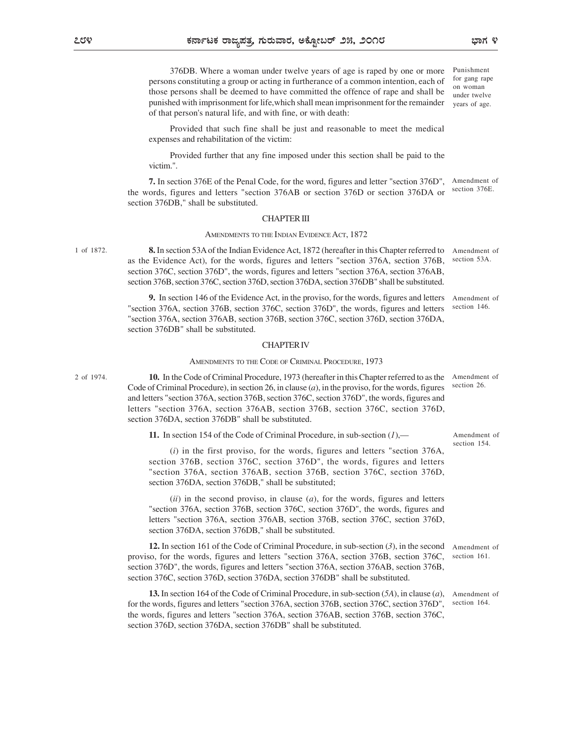376DB. Where a woman under twelve years of age is raped by one or more persons constituting a group or acting in furtherance of a common intention, each of those persons shall be deemed to have committed the offence of rape and shall be punished with imprisonment for life,which shall mean imprisonment for the remainder of that person's natural life, and with fine, or with death:

Provided that such fine shall be just and reasonable to meet the medical expenses and rehabilitation of the victim:

Provided further that any fine imposed under this section shall be paid to the victim.".

7. In section 376E of the Penal Code, for the word, figures and letter "section 376D", Amendment of the words, figures and letters "section 376AB or section 376D or section 376DA or section 376DB," shall be substituted. section 376E.

### CHAPTER III

## AMENDMENTS TO THE INDIAN EVIDENCE ACT, 1872

1 of 1872. **8.** In section 53A of the Indian Evidence Act, 1872 (hereafter in this Chapter referred to Amendment of section 53A. as the Evidence Act), for the words, figures and letters "section 376A, section 376B, section 376C, section 376D", the words, figures and letters "section 376A, section 376AB, section 376B, section 376C, section 376D, section 376DA, section 376DB" shall be substituted.

9. In section 146 of the Evidence Act, in the proviso, for the words, figures and letters Amendment of "section 376A, section 376B, section 376C, section 376D", the words, figures and letters "section 376A, section 376AB, section 376B, section 376C, section 376D, section 376DA, section 376DB" shall be substituted. section 146.

#### CHAPTER IV

#### AMENDMENTS TO THE CODE OF CRIMINAL PROCEDURE, 1973

2 of 1974. **10.** In the Code of Criminal Procedure, 1973 (hereafter in this Chapter referred to as the Amendment of Code of Criminal Procedure), in section 26, in clause  $(a)$ , in the proviso, for the words, figures and letters "section 376A, section 376B, section 376C, section 376D", the words, figures and letters "section 376A, section 376AB, section 376B, section 376C, section 376D, section 376DA, section 376DB" shall be substituted.

11. In section 154 of the Code of Criminal Procedure, in sub-section  $(l)$ ,—

 $(i)$  in the first proviso, for the words, figures and letters "section 376A, section 376B, section 376C, section 376D", the words, figures and letters "section 376A, section 376AB, section 376B, section 376C, section 376D, section 376DA, section 376DB," shall be substituted;

 $(ii)$  in the second proviso, in clause  $(a)$ , for the words, figures and letters "section 376A, section 376B, section 376C, section 376D", the words, figures and letters "section 376A, section 376AB, section 376B, section 376C, section 376D, section 376DA, section 376DB," shall be substituted.

12. In section 161 of the Code of Criminal Procedure, in sub-section (3), in the second Amendment of proviso, for the words, figures and letters "section 376A, section 376B, section 376C, section 161. section 376D", the words, figures and letters "section 376A, section 376AB, section 376B, section 376C, section 376D, section 376DA, section 376DB" shall be substituted.

13. In section 164 of the Code of Criminal Procedure, in sub-section (5A), in clause (a), Amendment of for the words, figures and letters "section 376A, section 376B, section 376C, section 376D", the words, figures and letters "section 376A, section 376AB, section 376B, section 376C, section 376D, section 376DA, section 376DB" shall be substituted.

Amendment of section 154.

section 164.

Amendment of section 26.

Punishment for gang rape on woman under twelve years of age.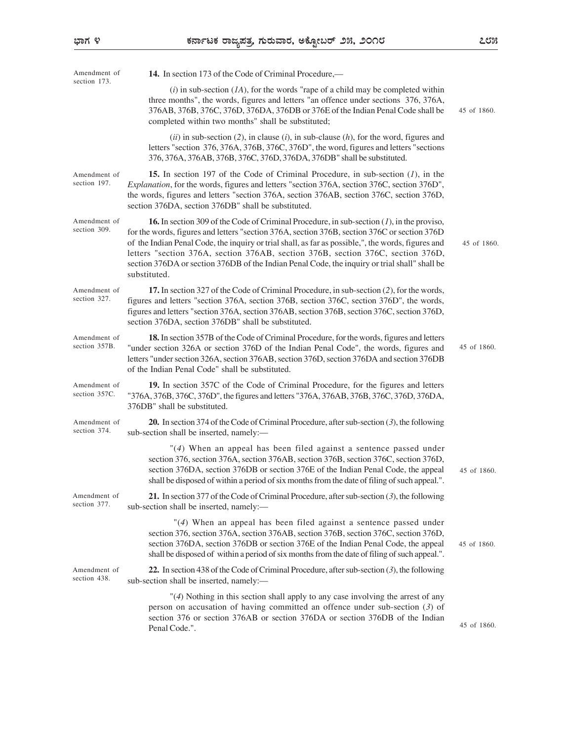| Amendment of                  | 14. In section 173 of the Code of Criminal Procedure,—                                                                                                                                                                                                                                                                                                                                                                                                                                                        |             |
|-------------------------------|---------------------------------------------------------------------------------------------------------------------------------------------------------------------------------------------------------------------------------------------------------------------------------------------------------------------------------------------------------------------------------------------------------------------------------------------------------------------------------------------------------------|-------------|
| section 173.                  | $(i)$ in sub-section $(IA)$ , for the words "rape of a child may be completed within<br>three months", the words, figures and letters "an offence under sections 376, 376A,<br>376AB, 376B, 376C, 376D, 376DA, 376DB or 376E of the Indian Penal Code shall be<br>completed within two months" shall be substituted;                                                                                                                                                                                          | 45 of 1860. |
|                               | $(ii)$ in sub-section (2), in clause (i), in sub-clause (h), for the word, figures and<br>letters "section 376, 376A, 376B, 376C, 376D", the word, figures and letters "sections<br>376, 376A, 376AB, 376B, 376C, 376D, 376DA, 376DB" shall be substituted.                                                                                                                                                                                                                                                   |             |
| Amendment of<br>section 197.  | 15. In section 197 of the Code of Criminal Procedure, in sub-section $(l)$ , in the<br>Explanation, for the words, figures and letters "section 376A, section 376C, section 376D",<br>the words, figures and letters "section 376A, section 376AB, section 376C, section 376D,<br>section 376DA, section 376DB" shall be substituted.                                                                                                                                                                         |             |
| Amendment of<br>section 309.  | <b>16.</b> In section 309 of the Code of Criminal Procedure, in sub-section $(1)$ , in the proviso,<br>for the words, figures and letters "section 376A, section 376B, section 376C or section 376D<br>of the Indian Penal Code, the inquiry or trial shall, as far as possible,", the words, figures and<br>letters "section 376A, section 376AB, section 376B, section 376C, section 376D,<br>section 376DA or section 376DB of the Indian Penal Code, the inquiry or trial shall" shall be<br>substituted. | 45 of 1860. |
| Amendment of<br>section 327.  | 17. In section 327 of the Code of Criminal Procedure, in sub-section (2), for the words,<br>figures and letters "section 376A, section 376B, section 376C, section 376D", the words,<br>figures and letters "section 376A, section 376AB, section 376B, section 376C, section 376D,<br>section 376DA, section 376DB" shall be substituted.                                                                                                                                                                    |             |
| Amendment of<br>section 357B. | 18. In section 357B of the Code of Criminal Procedure, for the words, figures and letters<br>"under section 326A or section 376D of the Indian Penal Code", the words, figures and<br>letters "under section 326A, section 376AB, section 376D, section 376DA and section 376DB<br>of the Indian Penal Code" shall be substituted.                                                                                                                                                                            | 45 of 1860. |
| Amendment of<br>section 357C. | 19. In section 357C of the Code of Criminal Procedure, for the figures and letters<br>"376A, 376B, 376C, 376D", the figures and letters "376A, 376AB, 376B, 376C, 376D, 376DA,<br>376DB" shall be substituted.                                                                                                                                                                                                                                                                                                |             |
| Amendment of<br>section 374.  | <b>20.</b> In section 374 of the Code of Criminal Procedure, after sub-section $(3)$ , the following<br>sub-section shall be inserted, namely:-                                                                                                                                                                                                                                                                                                                                                               |             |
|                               | "(4) When an appeal has been filed against a sentence passed under<br>section 376, section 376A, section 376AB, section 376B, section 376C, section 376D,<br>section 376DA, section 376DB or section 376E of the Indian Penal Code, the appeal<br>shall be disposed of within a period of six months from the date of filing of such appeal.".                                                                                                                                                                | 45 of 1860. |
| Amendment of<br>section 377.  | 21. In section 377 of the Code of Criminal Procedure, after sub-section $(3)$ , the following<br>sub-section shall be inserted, namely:-                                                                                                                                                                                                                                                                                                                                                                      |             |
|                               | $"(4)$ When an appeal has been filed against a sentence passed under<br>section 376, section 376A, section 376AB, section 376B, section 376C, section 376D,<br>section 376DA, section 376DB or section 376E of the Indian Penal Code, the appeal<br>shall be disposed of within a period of six months from the date of filing of such appeal.".                                                                                                                                                              | 45 of 1860. |
| Amendment of<br>section 438.  | 22. In section 438 of the Code of Criminal Procedure, after sub-section $(3)$ , the following<br>sub-section shall be inserted, namely:-                                                                                                                                                                                                                                                                                                                                                                      |             |
|                               | "(4) Nothing in this section shall apply to any case involving the arrest of any<br>person on accusation of having committed an offence under sub-section $(3)$ of<br>section 376 or section 376AB or section 376DA or section 376DB of the Indian<br>Penal Code.".                                                                                                                                                                                                                                           | 45 of 1860. |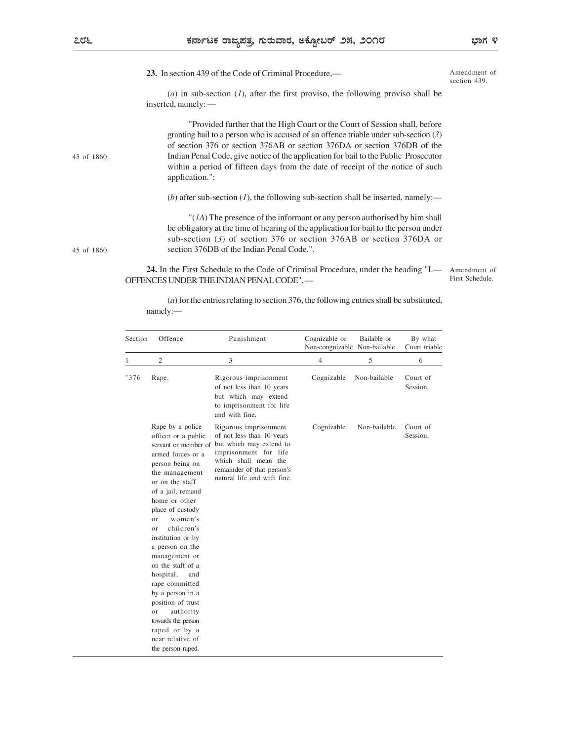Amendment of section 439.

(a) in sub-section  $(1)$ , after the first proviso, the following proviso shall be inserted, namely: —

|         | inserted, namely: $\_\$                                                                                                                                                                                                                                                                                                                                                                               | $(u)$ in sub-section (1), and the mist proviso, the following proviso shall be                                                                                                                                                                                                                                                                                                                                           |                                               |              |                          |                                 |
|---------|-------------------------------------------------------------------------------------------------------------------------------------------------------------------------------------------------------------------------------------------------------------------------------------------------------------------------------------------------------------------------------------------------------|--------------------------------------------------------------------------------------------------------------------------------------------------------------------------------------------------------------------------------------------------------------------------------------------------------------------------------------------------------------------------------------------------------------------------|-----------------------------------------------|--------------|--------------------------|---------------------------------|
|         | application.";                                                                                                                                                                                                                                                                                                                                                                                        | "Provided further that the High Court or the Court of Session shall, before<br>granting bail to a person who is accused of an offence triable under sub-section (3)<br>of section 376 or section 376AB or section 376DA or section 376DB of the<br>Indian Penal Code, give notice of the application for bail to the Public Prosecutor<br>within a period of fifteen days from the date of receipt of the notice of such |                                               |              |                          |                                 |
|         |                                                                                                                                                                                                                                                                                                                                                                                                       | (b) after sub-section (1), the following sub-section shall be inserted, namely:—                                                                                                                                                                                                                                                                                                                                         |                                               |              |                          |                                 |
|         |                                                                                                                                                                                                                                                                                                                                                                                                       | " $(IA)$ The presence of the informant or any person authorised by him shall<br>be obligatory at the time of hearing of the application for bail to the person under<br>sub-section $(3)$ of section 376 or section 376AB or section 376DA or<br>section 376DB of the Indian Penal Code.".                                                                                                                               |                                               |              |                          |                                 |
|         |                                                                                                                                                                                                                                                                                                                                                                                                       | 24. In the First Schedule to the Code of Criminal Procedure, under the heading "I.—<br>OFFENCES UNDER THE INDIAN PENAL CODE",-<br>$(a)$ for the entries relating to section 376, the following entries shall be substituted,                                                                                                                                                                                             |                                               |              |                          | Amendment of<br>First Schedule. |
|         | namely:-                                                                                                                                                                                                                                                                                                                                                                                              |                                                                                                                                                                                                                                                                                                                                                                                                                          |                                               |              |                          |                                 |
| Section | Offence                                                                                                                                                                                                                                                                                                                                                                                               | Punishment                                                                                                                                                                                                                                                                                                                                                                                                               | Cognizable or<br>Non-congnizable Non-bailable | Bailable or  | By what<br>Court triable |                                 |
|         | $\overline{c}$                                                                                                                                                                                                                                                                                                                                                                                        | 3                                                                                                                                                                                                                                                                                                                                                                                                                        | 4                                             | 5            | 6                        |                                 |
| "376    | Rape.                                                                                                                                                                                                                                                                                                                                                                                                 | Rigorous imprisonment<br>of not less than 10 years<br>but which may extend<br>to imprisonment for life<br>and with fine.                                                                                                                                                                                                                                                                                                 | Cognizable                                    | Non-bailable | Court of<br>Session.     |                                 |
|         | Rape by a police<br>officer or a public<br>servant or member of<br>armed forces or a<br>person being on<br>the management<br>or on the staff<br>of a jail, remand<br>home or other<br>place of custody<br>women's<br>or<br>children's<br>or<br>institution or by<br>a person on the<br>management or<br>on the staff of a<br>hospital, and<br>rape committed<br>by a person in a<br>position of trust | Rigorous imprisonment<br>of not less than 10 years<br>but which may extend to<br>imprisonment for life<br>which shall mean the<br>remainder of that person's<br>natural life and with fine.                                                                                                                                                                                                                              | Cognizable                                    | Non-bailable | Court of<br>Session.     |                                 |

45 of 1860.

45 of 1860.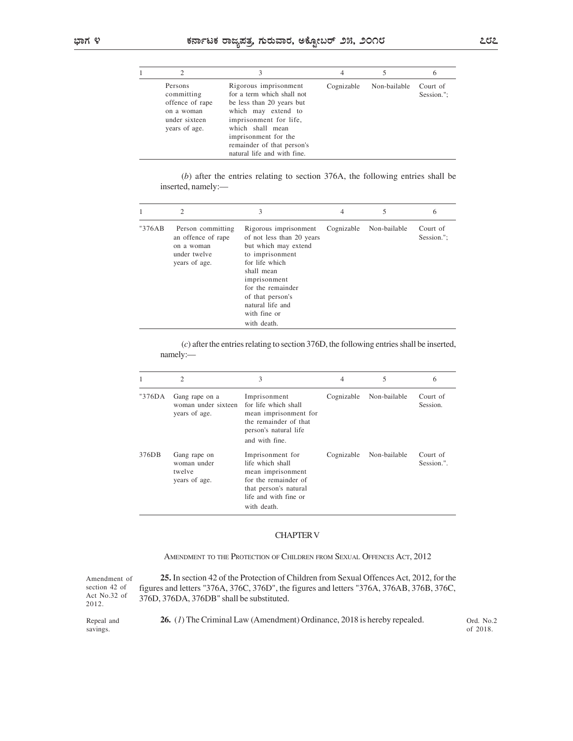|              |                                                                                                        | ಕರ್ನಾಟಕ ರಾಜ್ಯಪತ್ರ, ಗುರುವಾರ, ಅಕ್ಟೋಬರ್ ೨೫, ೨೦೧೮                                                                                                                                                                                                                |                              |                            |                             | ೭೮೭ |  |
|--------------|--------------------------------------------------------------------------------------------------------|--------------------------------------------------------------------------------------------------------------------------------------------------------------------------------------------------------------------------------------------------------------|------------------------------|----------------------------|-----------------------------|-----|--|
| 1            | $\sqrt{2}$<br>Persons<br>committing<br>offence of rape<br>on a woman<br>under sixteen<br>years of age. | $\mathfrak{Z}$<br>Rigorous imprisonment<br>for a term which shall not<br>be less than 20 years but<br>which may extend to<br>imprisonment for life,<br>which shall mean<br>imprisonment for the<br>remainder of that person's<br>natural life and with fine. | $\overline{4}$<br>Cognizable | $\sqrt{5}$<br>Non-bailable | 6<br>Court of<br>Session."; |     |  |
|              | inserted, namely:-                                                                                     | $(b)$ after the entries relating to section 376A, the following entries shall be                                                                                                                                                                             |                              |                            |                             |     |  |
| $\mathbf{1}$ | $\mathfrak{2}$                                                                                         | $\mathfrak{Z}$                                                                                                                                                                                                                                               | $\overline{4}$               | $\sqrt{5}$                 | 6                           |     |  |
| "376AB       | Person committing<br>an offence of rape<br>on a woman<br>under twelve<br>years of age.                 | Rigorous imprisonment<br>of not less than 20 years<br>but which may extend<br>to imprisonment<br>for life which<br>shall mean<br>imprisonment<br>for the remainder                                                                                           | Cognizable                   | Non-bailable               | Court of<br>Session.";      |     |  |

| ಕರ್ನಾಟಕ ರಾಜ್ಯಪತ್ರ, ಗುರುವಾರ, ಅಕ್ಟೋಬರ್ ೨೫, ೨೦೧೮ |                                                                                          |                                                                                                                                                                                                                                            |                |                         |                        |
|-----------------------------------------------|------------------------------------------------------------------------------------------|--------------------------------------------------------------------------------------------------------------------------------------------------------------------------------------------------------------------------------------------|----------------|-------------------------|------------------------|
|                                               |                                                                                          |                                                                                                                                                                                                                                            |                |                         |                        |
| 1                                             | 2                                                                                        | $\mathfrak{Z}$                                                                                                                                                                                                                             | $\overline{4}$ | 5                       | 6                      |
|                                               | Persons<br>committing<br>offence of rape<br>on a woman<br>under sixteen<br>years of age. | Rigorous imprisonment<br>for a term which shall not<br>be less than 20 years but<br>which may extend to<br>imprisonment for life,<br>which shall mean<br>imprisonment for the<br>remainder of that person's<br>natural life and with fine. | Cognizable     | Non-bailable            | Court of<br>Session."; |
|                                               | inserted, namely:-                                                                       | $(b)$ after the entries relating to section 376A, the following entries shall be                                                                                                                                                           |                |                         |                        |
| 1                                             | $\overline{2}$                                                                           | $\mathfrak{Z}$                                                                                                                                                                                                                             | $\overline{4}$ | 5                       | 6                      |
| "376AB                                        | Person committing<br>an offence of rape<br>on a woman<br>under twelve<br>years of age.   | Rigorous imprisonment<br>of not less than 20 years<br>but which may extend<br>to imprisonment<br>for life which<br>shall mean<br>imprisonment<br>for the remainder<br>of that person's<br>natural life and<br>with fine or<br>with death.  |                | Cognizable Non-bailable | Court of<br>Session."; |
|                                               | namely:-                                                                                 | $(c)$ after the entries relating to section 376D, the following entries shall be inserted,                                                                                                                                                 |                |                         |                        |
| $\mathbf{1}$                                  | $\overline{2}$                                                                           | $\mathfrak{Z}$                                                                                                                                                                                                                             | $\overline{4}$ | $\sqrt{5}$              | 6                      |
| "376DA                                        | Gang rape on a<br>woman under sixteen<br>years of age.                                   | Imprisonment<br>for life which shall<br>mean imprisonment for<br>the remainder of that<br>person's natural life<br>and with fine.                                                                                                          |                | Cognizable Non-bailable | Court of<br>Session.   |
| 376DB                                         | Gang rape on<br>woman under<br>twelve                                                    | Imprisonment for<br>life which shall<br>mean imprisonment                                                                                                                                                                                  |                | Cognizable Non-bailable | Court of<br>Session.". |

|        | 2                                                                                      | $\mathfrak{Z}$                                                                                                                                                                                                                            | 4              | C            | $\theta$               |
|--------|----------------------------------------------------------------------------------------|-------------------------------------------------------------------------------------------------------------------------------------------------------------------------------------------------------------------------------------------|----------------|--------------|------------------------|
| "376AB | Person committing<br>an offence of rape<br>on a woman<br>under twelve<br>years of age. | Rigorous imprisonment<br>of not less than 20 years<br>but which may extend<br>to imprisonment<br>for life which<br>shall mean<br>imprisonment<br>for the remainder<br>of that person's<br>natural life and<br>with fine or<br>with death. | Cognizable     | Non-bailable | Court of<br>Session."; |
|        | namely:-<br>$\overline{2}$                                                             | $(c)$ after the entries relating to section 376D, the following entries shall be inserted,<br>3                                                                                                                                           | $\overline{4}$ | $\sqrt{5}$   | 6                      |
| "376DA | Gang rape on a<br>woman under sixteen<br>years of age.                                 | Imprisonment<br>for life which shall<br>mean imprisonment for<br>the remainder of that<br>person's natural life<br>and with fine.                                                                                                         | Cognizable     | Non-bailable | Court of<br>Session.   |
| 376DB  | Gang rape on<br>woman under<br>twelve<br>years of age.                                 | Imprisonment for<br>life which shall<br>mean imprisonment<br>for the remainder of<br>that person's natural<br>life and with fine or<br>with death.                                                                                        | Cognizable     | Non-bailable | Court of<br>Session.". |
|        |                                                                                        | <b>CHAPTER V</b>                                                                                                                                                                                                                          |                |              |                        |

## CHAPTER V

AMENDMENT TO THE PROTECTION OF CHILDREN FROM SEXUAL OFFENCES ACT, 2012

2012.

Amendment of 25. In section 42 of the Protection of Children from Sexual Offences Act, 2012, for the section 42 of figures and letters "376A, 376C, 376D", the figures and letters "376A, 376AB, 376B, 376C, Act No.32 of  $376D$ ,  $376DA$ ,  $376DB$ " shall be substituted.

savings.

Repeal and  $26. (1)$  The Criminal Law (Amendment) Ordinance, 2018 is hereby repealed. Ord. No.2

Ord. No.2 of 2018.